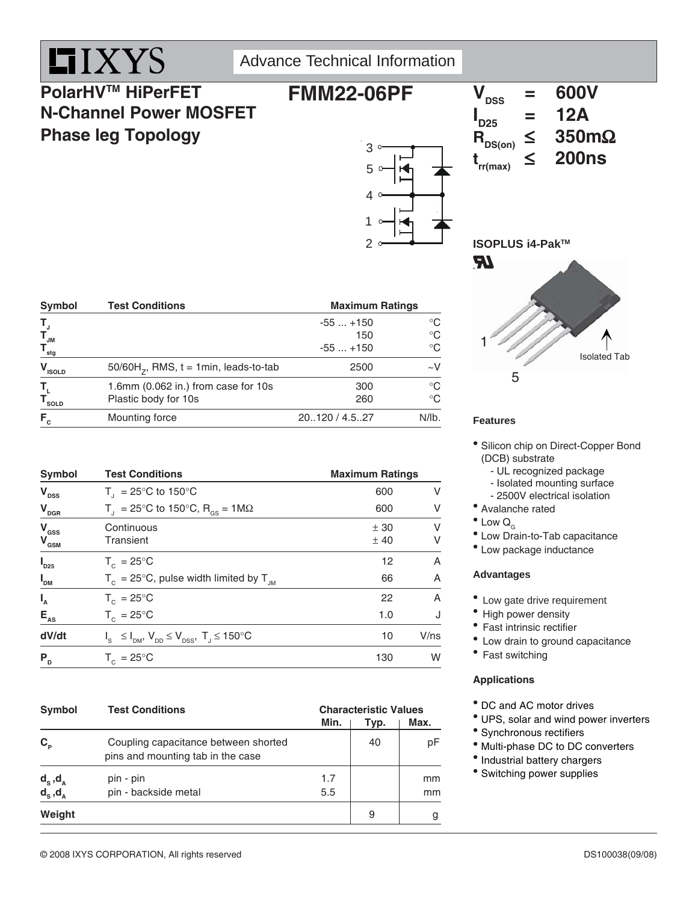

### Advance Technical Information

## **PolarHVTM HiPerFET N-Channel Power MOSFET Phase leg Topology**



## $V_{\text{rec}}$  = 600V **I**<sub>D25</sub>  $= 12A$ <br> $\leq 350 \text{m}\Omega$  $R_{DS(on)} \leq 350$ m<br>t  $\leq 200$ ns

 $t_{rr(max)} \leq$ 

**ISOPLUS i4-Pak™** 



| $F_c$                                                                                            | Mounting force                                              | 20120 / 4.527                 | N/lb.                            |
|--------------------------------------------------------------------------------------------------|-------------------------------------------------------------|-------------------------------|----------------------------------|
| Т,<br>$\mathsf{T}_{\scriptscriptstyle\mathsf{SOLD}}$                                             | 1.6mm (0.062 in.) from case for 10s<br>Plastic body for 10s | 300<br>260                    | $^{\circ}C$<br>$^{\circ}C$       |
| $V_{ISOLD}$                                                                                      | $50/60H_{7}$ , RMS, $t = 1$ min, leads-to-tab               | 2500                          | $\sim$ V                         |
| Τ,<br>$\begin{array}{cc} \mathsf{T}_{_{\mathsf{JM}}} \ \mathsf{T}_{_{\mathsf{stg}}} \end{array}$ |                                                             | $-55+150$<br>150<br>$-55+150$ | °C<br>$^{\circ}C$<br>$^{\circ}C$ |

Symbol Test Conditions **Maximum Ratings** 

| Symbol                                      | <b>Test Conditions</b>                                              | <b>Maximum Ratings</b> |        |  |  |
|---------------------------------------------|---------------------------------------------------------------------|------------------------|--------|--|--|
| $V_{\text{DSS}}$                            | $T_{1}$ = 25°C to 150°C                                             | 600                    | V      |  |  |
| $V_{\text{DGR}}$                            | $T_{\rm d}$ = 25°C to 150°C, R <sub>os</sub> = 1M $\Omega$          | 600                    | V      |  |  |
| $V_{\text{GSS}}$<br>$V_{\text{\tiny{GSM}}}$ | Continuous<br>Transient                                             | ± 30<br>±40            | V<br>V |  |  |
| $\boldsymbol{I}_{D25}$                      | $T_c = 25^{\circ}$ C                                                | 12                     | A      |  |  |
| $I_{DM}$                                    | $T_c = 25^{\circ}$ C, pulse width limited by $T_{JM}$               | 66                     | A      |  |  |
| $I_{A}$                                     | $T_c = 25^{\circ}$ C                                                | 22                     | A      |  |  |
| $E_{AS}$                                    | $T_c = 25^{\circ}C$                                                 | 1.0                    | J      |  |  |
| dV/dt                                       | $I_s \leq I_{DM}$ , $V_{DD} \leq V_{DSS}$ , $T_s \leq 150^{\circ}C$ | 10                     | V/ns   |  |  |
| P <sub>D</sub>                              | $T_c = 25^{\circ}$ C                                                | 130                    | W      |  |  |

| <b>Symbol</b>                                | <b>Test Conditions</b>                                                    | Min.       | <b>Characteristic Values</b><br>Max.<br>Typ. |                     |  |
|----------------------------------------------|---------------------------------------------------------------------------|------------|----------------------------------------------|---------------------|--|
| $C_{\rm p}$                                  | Coupling capacitance between shorted<br>pins and mounting tab in the case |            | 40                                           | рF                  |  |
| $d_s^{\text{d},d_A}$<br>$d_s^{\text{d},d_A}$ | pin - pin<br>pin - backside metal                                         | 1.7<br>5.5 |                                              | <sub>mm</sub><br>mm |  |
| Weight                                       |                                                                           |            | 9                                            | g                   |  |

#### **Features**

- Silicon chip on Direct-Copper Bond (DCB) substrate
	- UL recognized package
	- Isolated mounting surface
	- 2500V electrical isolation
- Avalanche rated
- $^{\bullet}$  Low  $Q_{\alpha}$
- Low Drain-to-Tab capacitance
- Low package inductance

#### **Advantages**

- Low gate drive requirement
- High power density
- Fast intrinsic rectifier
- Low drain to ground capacitance
- Fast switching

#### **Applications**

- DC and AC motor drives
- UPS, solar and wind power inverters
- Synchronous rectifiers
- $^{\circ}$  Multi-phase DC to DC converters
- Industrial battery chargers
- Switching power supplies